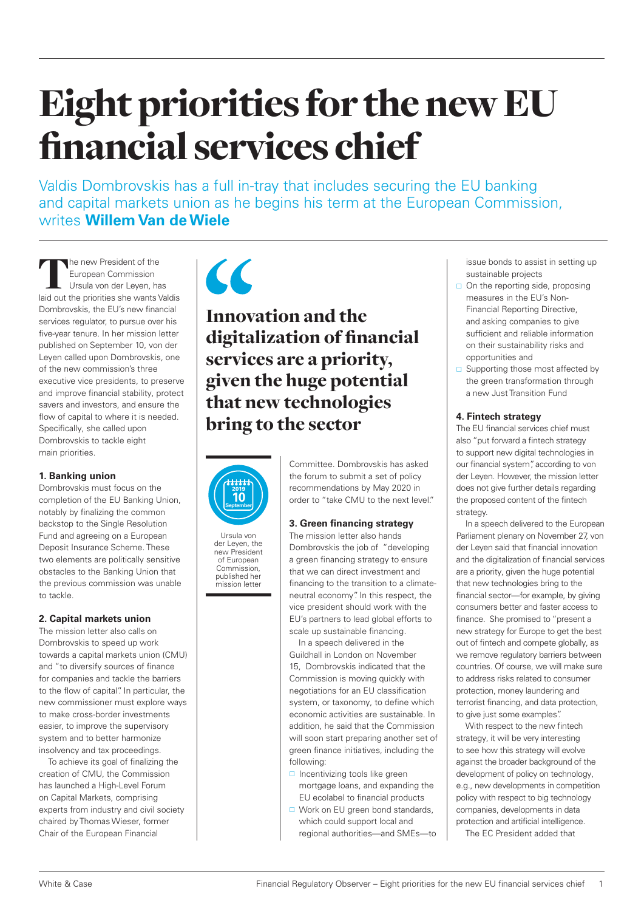# Eight priorities for the new EU financial services chief

Valdis Dombrovskis has a full in-tray that includes securing the EU banking and capital markets union as he begins his term at the European Commission, writes **Willem Van de Wiele**

The new President of the European Commission Ursula von der Leyen, has laid out the priorities she wants Valdis Dombrovskis, the EU's new financial services regulator, to pursue over his five-year tenure. In her mission letter published on September 10, von der Leyen called upon Dombrovskis, one of the new commission's three executive vice presidents, to preserve and improve financial stability, protect savers and investors, and ensure the flow of capital to where it is needed. Specifically, she called upon Dombrovskis to tackle eight main priorities.

#### **1. Banking union**

Dombrovskis must focus on the completion of the EU Banking Union, notably by finalizing the common backstop to the Single Resolution Fund and agreeing on a European Deposit Insurance Scheme. These two elements are politically sensitive obstacles to the Banking Union that the previous commission was unable to tackle.

### **2. Capital markets union**

The mission letter also calls on Dombrovskis to speed up work towards a capital markets union (CMU) and "to diversify sources of finance for companies and tackle the barriers to the flow of capital". In particular, the new commissioner must explore ways to make cross-border investments easier, to improve the supervisory system and to better harmonize insolvency and tax proceedings.

To achieve its goal of finalizing the creation of CMU, the Commission has launched a High-Level Forum on Capital Markets, comprising experts from industry and civil society chaired by Thomas Wieser, former Chair of the European Financial



# Innovation and the digitalization of financial services are a priority, given the huge potential that new technologies bring to the sector



Ursula von der Leyen, the new President of European Commission, published her mission letter

Committee. Dombrovskis has asked the forum to submit a set of policy recommendations by May 2020 in order to "take CMU to the next level."

## **3. Green financing strategy**

The mission letter also hands Dombrovskis the job of "developing a green financing strategy to ensure that we can direct investment and financing to the transition to a climateneutral economy". In this respect, the vice president should work with the EU's partners to lead global efforts to scale up sustainable financing.

In a speech delivered in the Guildhall in London on November 15, Dombrovskis indicated that the Commission is moving quickly with negotiations for an EU classification system, or taxonomy, to define which economic activities are sustainable. In addition, he said that the Commission will soon start preparing another set of green finance initiatives, including the following:

- $\Box$  Incentivizing tools like green mortgage loans, and expanding the EU ecolabel to financial products
- □ Work on EU green bond standards, which could support local and regional authorities—and SMEs—to

issue bonds to assist in setting up sustainable projects

- $\Box$  On the reporting side, proposing measures in the EU's Non-Financial Reporting Directive, and asking companies to give sufficient and reliable information on their sustainability risks and opportunities and
- $\square$  Supporting those most affected by the green transformation through a new Just Transition Fund

#### **4. Fintech strategy**

The EU financial services chief must also "put forward a fintech strategy to support new digital technologies in our financial system", according to von der Leyen. However, the mission letter does not give further details regarding the proposed content of the fintech strategy.

In a speech delivered to the European Parliament plenary on November 27, von der Leyen said that financial innovation and the digitalization of financial services are a priority, given the huge potential that new technologies bring to the financial sector—for example, by giving consumers better and faster access to finance. She promised to "present a new strategy for Europe to get the best out of fintech and compete globally, as we remove regulatory barriers between countries. Of course, we will make sure to address risks related to consumer protection, money laundering and terrorist financing, and data protection, to give just some examples".

With respect to the new fintech strategy, it will be very interesting to see how this strategy will evolve against the broader background of the development of policy on technology, e.g., new developments in competition policy with respect to big technology companies, developments in data protection and artificial intelligence.

The EC President added that